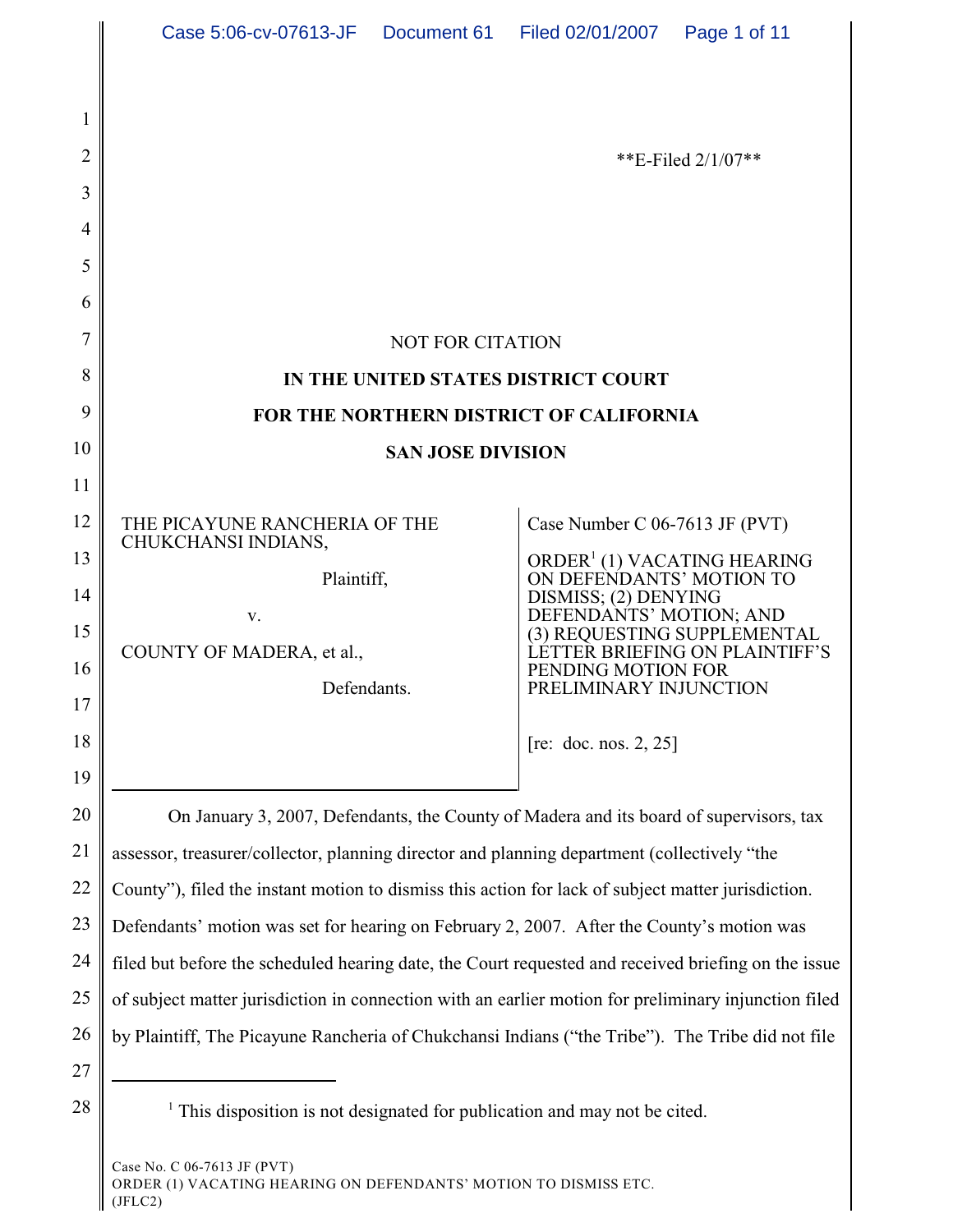| 2  |                                                                                                      | **E-Filed $2/1/07$ **                                               |
|----|------------------------------------------------------------------------------------------------------|---------------------------------------------------------------------|
| 3  |                                                                                                      |                                                                     |
| 4  |                                                                                                      |                                                                     |
| 5  |                                                                                                      |                                                                     |
| 6  |                                                                                                      |                                                                     |
| 7  | <b>NOT FOR CITATION</b>                                                                              |                                                                     |
| 8  | IN THE UNITED STATES DISTRICT COURT                                                                  |                                                                     |
| 9  | FOR THE NORTHERN DISTRICT OF CALIFORNIA                                                              |                                                                     |
| 10 | <b>SAN JOSE DIVISION</b>                                                                             |                                                                     |
| 11 |                                                                                                      |                                                                     |
| 12 | THE PICAYUNE RANCHERIA OF THE<br>CHUKCHANSI INDIANS,                                                 | Case Number C 06-7613 JF (PVT)                                      |
| 13 | Plaintiff,                                                                                           | ORDER <sup>1</sup> (1) VACATING HEARING<br>ON DEFENDANTS' MOTION TO |
| 14 | V.                                                                                                   | DISMISS; (2) DENYING<br>DEFENDANTS' MOTION; AND                     |
| 15 | COUNTY OF MADERA, et al.,                                                                            | (3) REQUESTING SUPPLEMENTAL<br>ETTER BRIEFING ON PLAINTIFF'S.       |
| 16 | Defendants.                                                                                          | PENDING MOTION FOR<br>PRELIMINARY INJUNCTION                        |
| 17 |                                                                                                      |                                                                     |
| 18 |                                                                                                      | [re: doc. nos. $2, 25$ ]                                            |
| 19 |                                                                                                      |                                                                     |
| 20 | On January 3, 2007, Defendants, the County of Madera and its board of supervisors, tax               |                                                                     |
| 21 | assessor, treasurer/collector, planning director and planning department (collectively "the          |                                                                     |
| 22 | County"), filed the instant motion to dismiss this action for lack of subject matter jurisdiction.   |                                                                     |
| 23 | Defendants' motion was set for hearing on February 2, 2007. After the County's motion was            |                                                                     |
| 24 | filed but before the scheduled hearing date, the Court requested and received briefing on the issue  |                                                                     |
| 25 | of subject matter jurisdiction in connection with an earlier motion for preliminary injunction filed |                                                                     |
| 26 | by Plaintiff, The Picayune Rancheria of Chukchansi Indians ("the Tribe"). The Tribe did not file     |                                                                     |
| 27 |                                                                                                      |                                                                     |
| 28 | This disposition is not designated for publication and may not be cited.                             |                                                                     |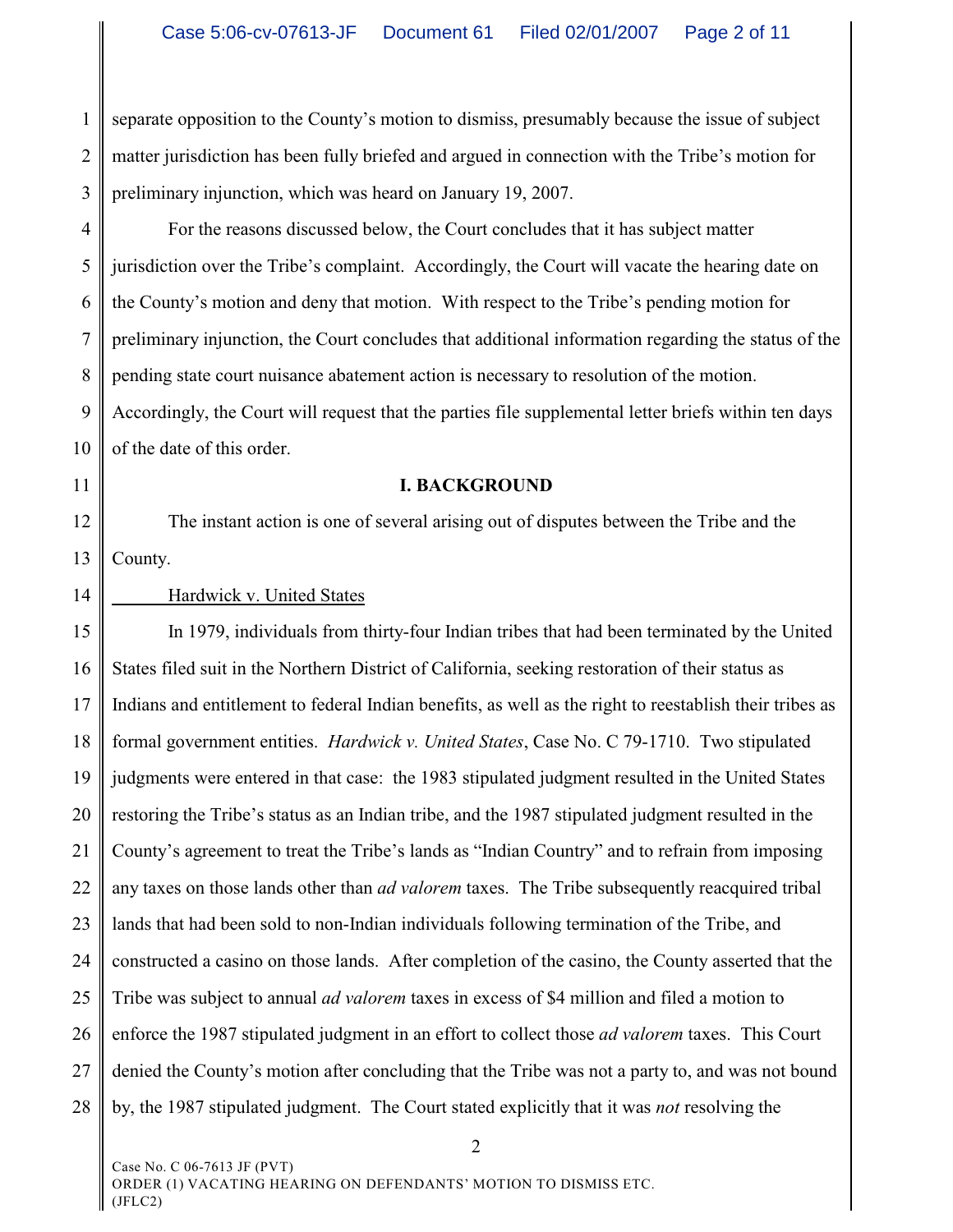1 2 3 separate opposition to the County's motion to dismiss, presumably because the issue of subject matter jurisdiction has been fully briefed and argued in connection with the Tribe's motion for preliminary injunction, which was heard on January 19, 2007.

4 5 6 7 8 9 10 For the reasons discussed below, the Court concludes that it has subject matter jurisdiction over the Tribe's complaint. Accordingly, the Court will vacate the hearing date on the County's motion and deny that motion. With respect to the Tribe's pending motion for preliminary injunction, the Court concludes that additional information regarding the status of the pending state court nuisance abatement action is necessary to resolution of the motion. Accordingly, the Court will request that the parties file supplemental letter briefs within ten days of the date of this order.

11

14

#### **I. BACKGROUND**

12 13 The instant action is one of several arising out of disputes between the Tribe and the County.

# Hardwick v. United States

15 16 17 18 19 20 21 22 23 24 25 26 27 28 In 1979, individuals from thirty-four Indian tribes that had been terminated by the United States filed suit in the Northern District of California, seeking restoration of their status as Indians and entitlement to federal Indian benefits, as well as the right to reestablish their tribes as formal government entities. *Hardwick v. United States*, Case No. C 79-1710. Two stipulated judgments were entered in that case: the 1983 stipulated judgment resulted in the United States restoring the Tribe's status as an Indian tribe, and the 1987 stipulated judgment resulted in the County's agreement to treat the Tribe's lands as "Indian Country" and to refrain from imposing any taxes on those lands other than *ad valorem* taxes. The Tribe subsequently reacquired tribal lands that had been sold to non-Indian individuals following termination of the Tribe, and constructed a casino on those lands. After completion of the casino, the County asserted that the Tribe was subject to annual *ad valorem* taxes in excess of \$4 million and filed a motion to enforce the 1987 stipulated judgment in an effort to collect those *ad valorem* taxes. This Court denied the County's motion after concluding that the Tribe was not a party to, and was not bound by, the 1987 stipulated judgment. The Court stated explicitly that it was *not* resolving the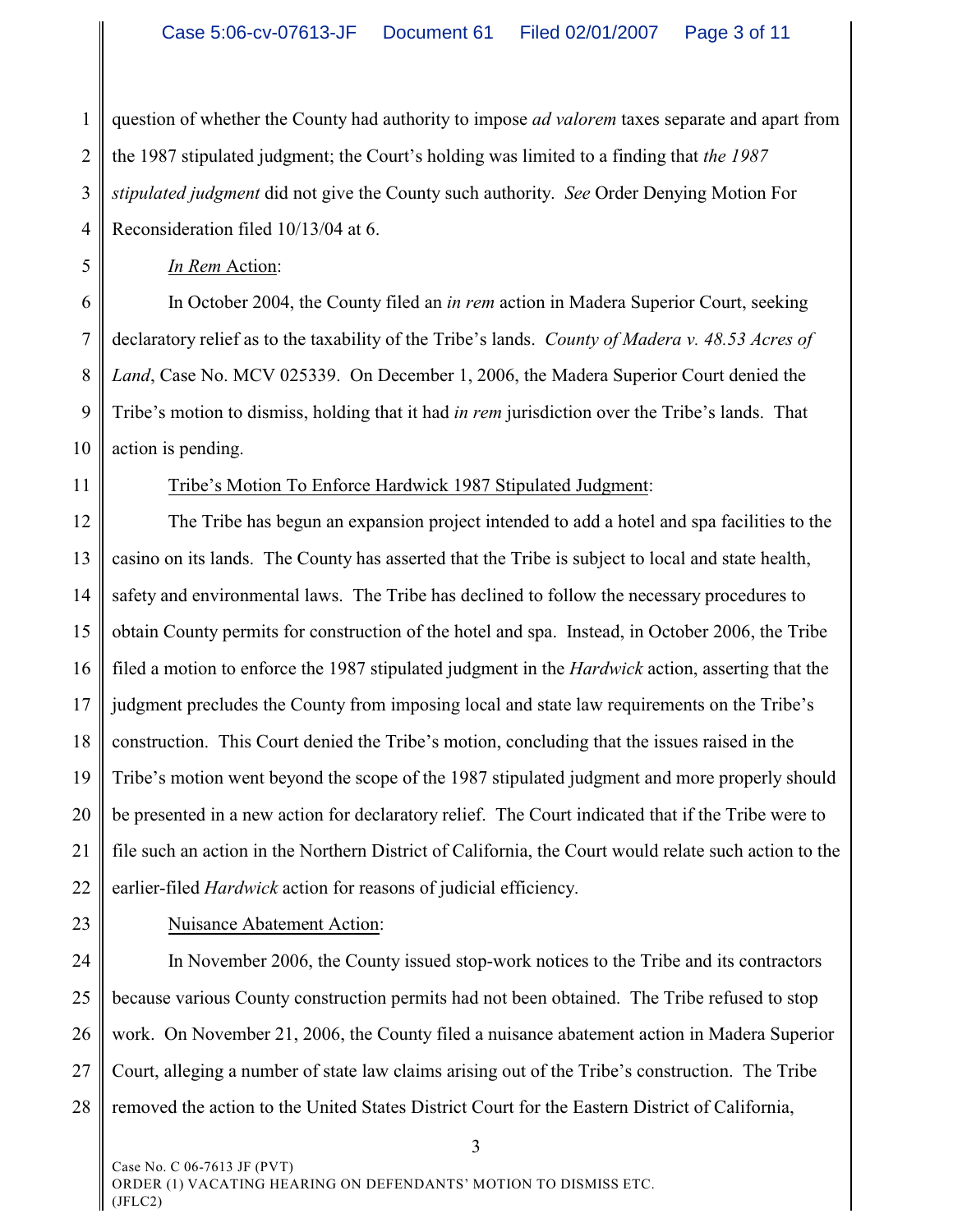1 2 3 4 question of whether the County had authority to impose *ad valorem* taxes separate and apart from the 1987 stipulated judgment; the Court's holding was limited to a finding that *the 1987 stipulated judgment* did not give the County such authority. *See* Order Denying Motion For Reconsideration filed 10/13/04 at 6.

*In Rem* Action:

6 7 8 9 10 In October 2004, the County filed an *in rem* action in Madera Superior Court, seeking declaratory relief as to the taxability of the Tribe's lands. *County of Madera v. 48.53 Acres of Land*, Case No. MCV 025339. On December 1, 2006, the Madera Superior Court denied the Tribe's motion to dismiss, holding that it had *in rem* jurisdiction over the Tribe's lands. That action is pending.

11

5

# Tribe's Motion To Enforce Hardwick 1987 Stipulated Judgment:

12 13 14 15 16 17 18 19 20 21 22 The Tribe has begun an expansion project intended to add a hotel and spa facilities to the casino on its lands. The County has asserted that the Tribe is subject to local and state health, safety and environmental laws. The Tribe has declined to follow the necessary procedures to obtain County permits for construction of the hotel and spa. Instead, in October 2006, the Tribe filed a motion to enforce the 1987 stipulated judgment in the *Hardwick* action, asserting that the judgment precludes the County from imposing local and state law requirements on the Tribe's construction. This Court denied the Tribe's motion, concluding that the issues raised in the Tribe's motion went beyond the scope of the 1987 stipulated judgment and more properly should be presented in a new action for declaratory relief. The Court indicated that if the Tribe were to file such an action in the Northern District of California, the Court would relate such action to the earlier-filed *Hardwick* action for reasons of judicial efficiency.

23

# Nuisance Abatement Action:

24 25 26 27 28 In November 2006, the County issued stop-work notices to the Tribe and its contractors because various County construction permits had not been obtained. The Tribe refused to stop work. On November 21, 2006, the County filed a nuisance abatement action in Madera Superior Court, alleging a number of state law claims arising out of the Tribe's construction. The Tribe removed the action to the United States District Court for the Eastern District of California,

3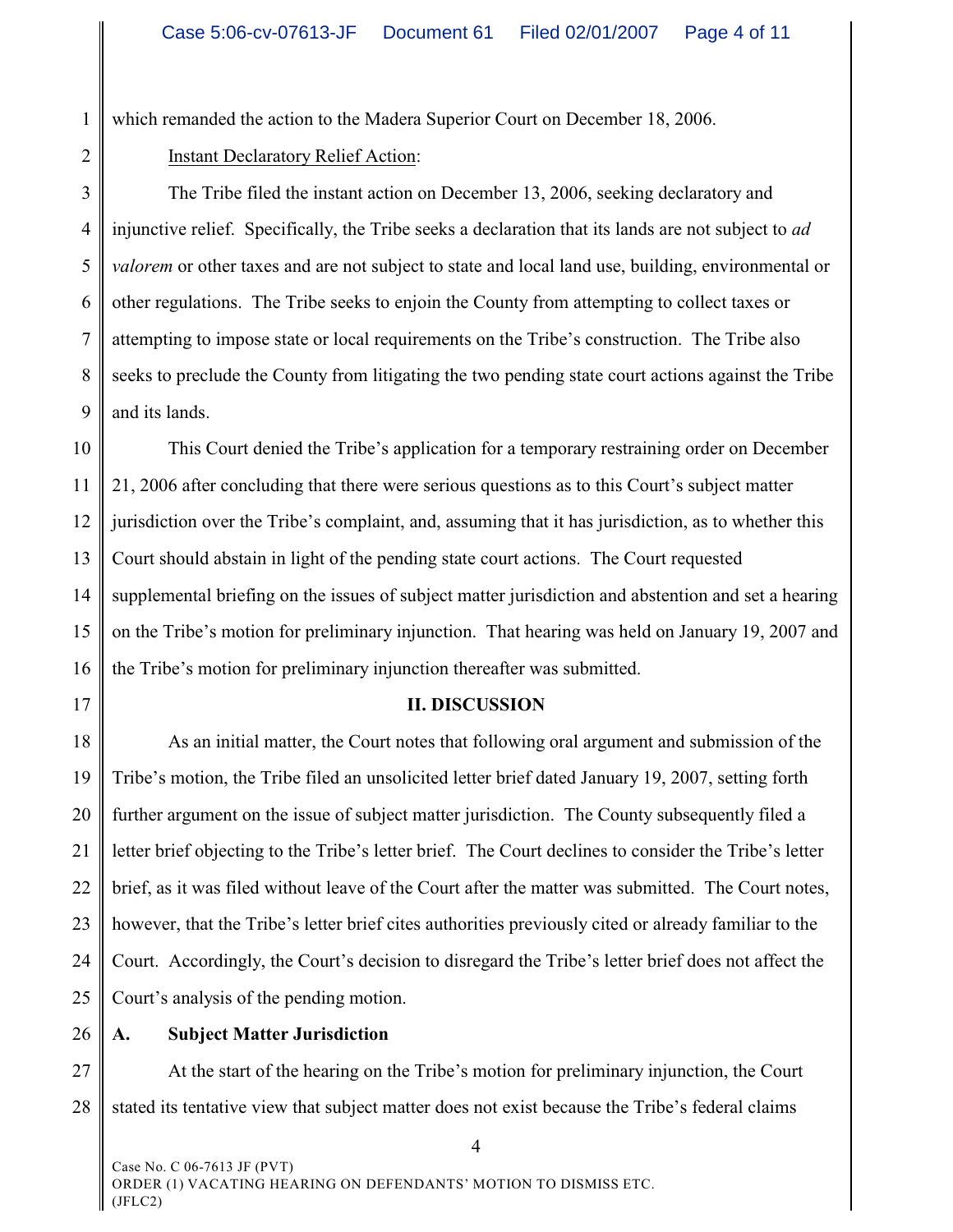1 which remanded the action to the Madera Superior Court on December 18, 2006.

2

Instant Declaratory Relief Action:

3 4 5 6 7 8 9 The Tribe filed the instant action on December 13, 2006, seeking declaratory and injunctive relief. Specifically, the Tribe seeks a declaration that its lands are not subject to *ad valorem* or other taxes and are not subject to state and local land use, building, environmental or other regulations. The Tribe seeks to enjoin the County from attempting to collect taxes or attempting to impose state or local requirements on the Tribe's construction. The Tribe also seeks to preclude the County from litigating the two pending state court actions against the Tribe and its lands.

10 11 12 13 14 15 16 This Court denied the Tribe's application for a temporary restraining order on December 21, 2006 after concluding that there were serious questions as to this Court's subject matter jurisdiction over the Tribe's complaint, and, assuming that it has jurisdiction, as to whether this Court should abstain in light of the pending state court actions. The Court requested supplemental briefing on the issues of subject matter jurisdiction and abstention and set a hearing on the Tribe's motion for preliminary injunction. That hearing was held on January 19, 2007 and the Tribe's motion for preliminary injunction thereafter was submitted.

17

### **II. DISCUSSION**

18 19 20 21 22 23 24 25 As an initial matter, the Court notes that following oral argument and submission of the Tribe's motion, the Tribe filed an unsolicited letter brief dated January 19, 2007, setting forth further argument on the issue of subject matter jurisdiction. The County subsequently filed a letter brief objecting to the Tribe's letter brief. The Court declines to consider the Tribe's letter brief, as it was filed without leave of the Court after the matter was submitted. The Court notes, however, that the Tribe's letter brief cites authorities previously cited or already familiar to the Court. Accordingly, the Court's decision to disregard the Tribe's letter brief does not affect the Court's analysis of the pending motion.

26

# **A. Subject Matter Jurisdiction**

27 28 At the start of the hearing on the Tribe's motion for preliminary injunction, the Court stated its tentative view that subject matter does not exist because the Tribe's federal claims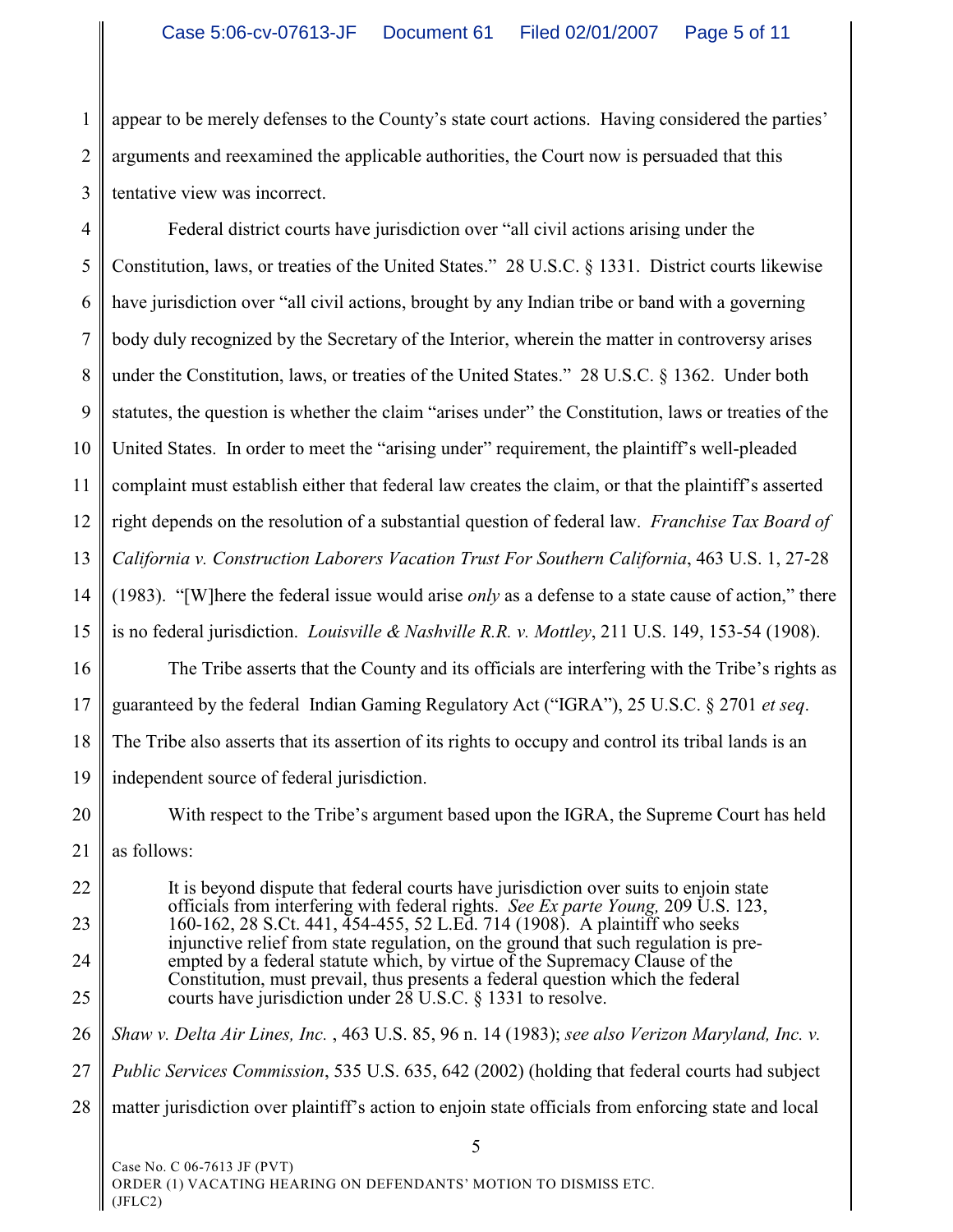1 2 3 appear to be merely defenses to the County's state court actions. Having considered the parties' arguments and reexamined the applicable authorities, the Court now is persuaded that this tentative view was incorrect.

4 5 6 7 8 9 10 11 12 13 14 15 16 17 18 19 Federal district courts have jurisdiction over "all civil actions arising under the Constitution, laws, or treaties of the United States." 28 U.S.C. § 1331. District courts likewise have jurisdiction over "all civil actions, brought by any Indian tribe or band with a governing body duly recognized by the Secretary of the Interior, wherein the matter in controversy arises under the Constitution, laws, or treaties of the United States." 28 U.S.C. § 1362. Under both statutes, the question is whether the claim "arises under" the Constitution, laws or treaties of the United States. In order to meet the "arising under" requirement, the plaintiff's well-pleaded complaint must establish either that federal law creates the claim, or that the plaintiff's asserted right depends on the resolution of a substantial question of federal law. *Franchise Tax Board of California v. Construction Laborers Vacation Trust For Southern California*, 463 U.S. 1, 27-28 (1983). "[W]here the federal issue would arise *only* as a defense to a state cause of action," there is no federal jurisdiction. *Louisville & Nashville R.R. v. Mottley*, 211 U.S. 149, 153-54 (1908). The Tribe asserts that the County and its officials are interfering with the Tribe's rights as guaranteed by the federal Indian Gaming Regulatory Act ("IGRA"), 25 U.S.C. § 2701 *et seq*. The Tribe also asserts that its assertion of its rights to occupy and control its tribal lands is an independent source of federal jurisdiction.

20

21

With respect to the Tribe's argument based upon the IGRA, the Supreme Court has held as follows:

22 23 24 25 It is beyond dispute that federal courts have jurisdiction over suits to enjoin state officials from interfering with federal rights. *See Ex parte Young,* 209 U.S. 123, 160-162, 28 S.Ct. 441, 454-455, 52 L.Ed. 714 (1908). A plaintiff who seeks injunctive relief from state regulation, on the ground that such regulation is preempted by a federal statute which, by virtue of the Supremacy Clause of the Constitution, must prevail, thus presents a federal question which the federal courts have jurisdiction under 28 U.S.C. § 1331 to resolve.

26 *Shaw v. Delta Air Lines, Inc.* , 463 U.S. 85, 96 n. 14 (1983); *see also Verizon Maryland, Inc. v.*

27 *Public Services Commission*, 535 U.S. 635, 642 (2002) (holding that federal courts had subject

28 matter jurisdiction over plaintiff's action to enjoin state officials from enforcing state and local

5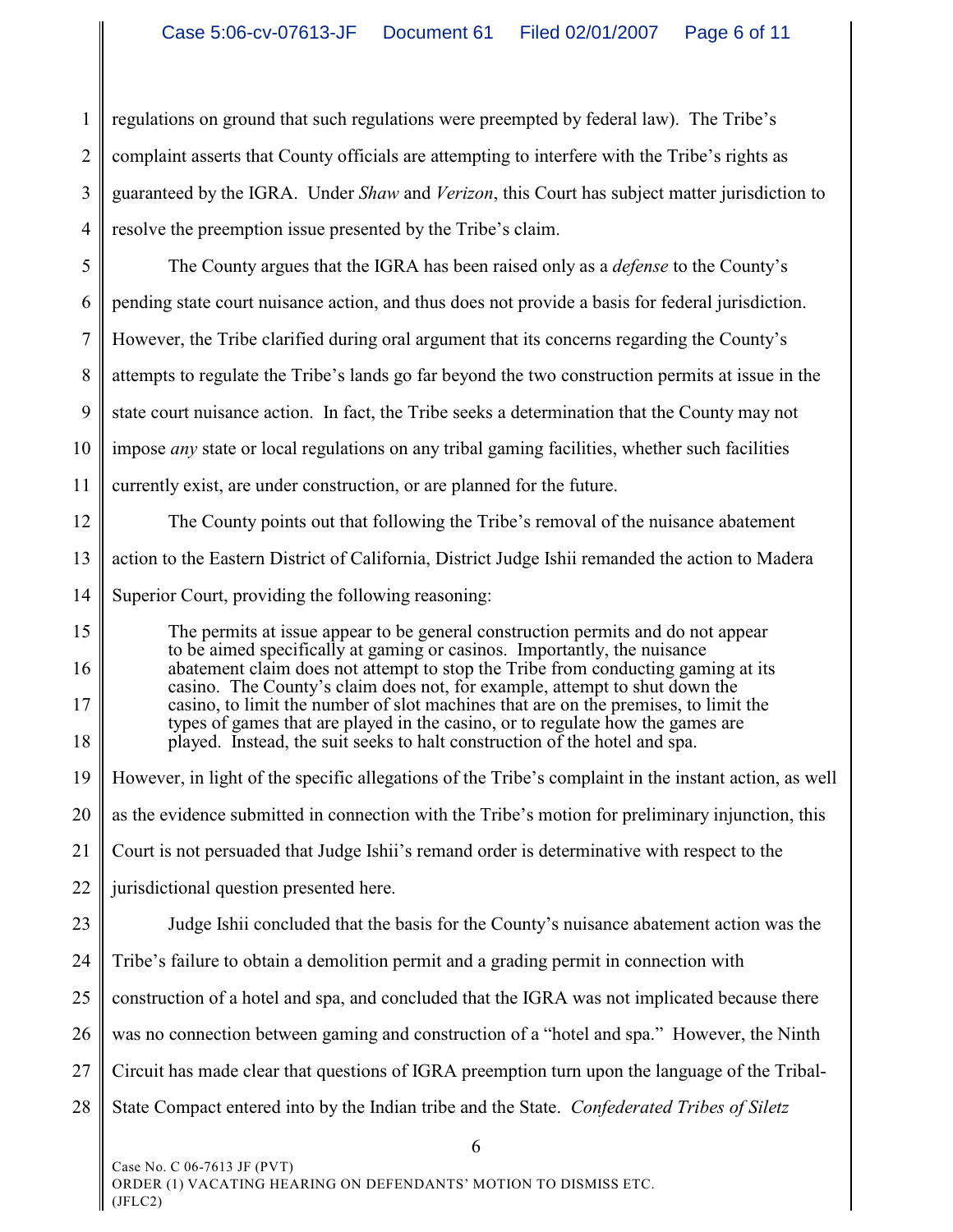1 2 3 4 regulations on ground that such regulations were preempted by federal law). The Tribe's complaint asserts that County officials are attempting to interfere with the Tribe's rights as guaranteed by the IGRA. Under *Shaw* and *Verizon*, this Court has subject matter jurisdiction to resolve the preemption issue presented by the Tribe's claim.

5 6 7 8 9 10 11 The County argues that the IGRA has been raised only as a *defense* to the County's pending state court nuisance action, and thus does not provide a basis for federal jurisdiction. However, the Tribe clarified during oral argument that its concerns regarding the County's attempts to regulate the Tribe's lands go far beyond the two construction permits at issue in the state court nuisance action. In fact, the Tribe seeks a determination that the County may not impose *any* state or local regulations on any tribal gaming facilities, whether such facilities currently exist, are under construction, or are planned for the future.

12 13 14 The County points out that following the Tribe's removal of the nuisance abatement action to the Eastern District of California, District Judge Ishii remanded the action to Madera Superior Court, providing the following reasoning:

15 16 17 18 The permits at issue appear to be general construction permits and do not appear to be aimed specifically at gaming or casinos. Importantly, the nuisance abatement claim does not attempt to stop the Tribe from conducting gaming at its casino. The County's claim does not, for example, attempt to shut down the casino, to limit the number of slot machines that are on the premises, to limit the types of games that are played in the casino, or to regulate how the games are played. Instead, the suit seeks to halt construction of the hotel and spa.

19 However, in light of the specific allegations of the Tribe's complaint in the instant action, as well

20 as the evidence submitted in connection with the Tribe's motion for preliminary injunction, this

21 Court is not persuaded that Judge Ishii's remand order is determinative with respect to the

22 jurisdictional question presented here.

23 24 Judge Ishii concluded that the basis for the County's nuisance abatement action was the Tribe's failure to obtain a demolition permit and a grading permit in connection with

25 construction of a hotel and spa, and concluded that the IGRA was not implicated because there

26 was no connection between gaming and construction of a "hotel and spa." However, the Ninth

27 Circuit has made clear that questions of IGRA preemption turn upon the language of the Tribal-

28 State Compact entered into by the Indian tribe and the State. *Confederated Tribes of Siletz*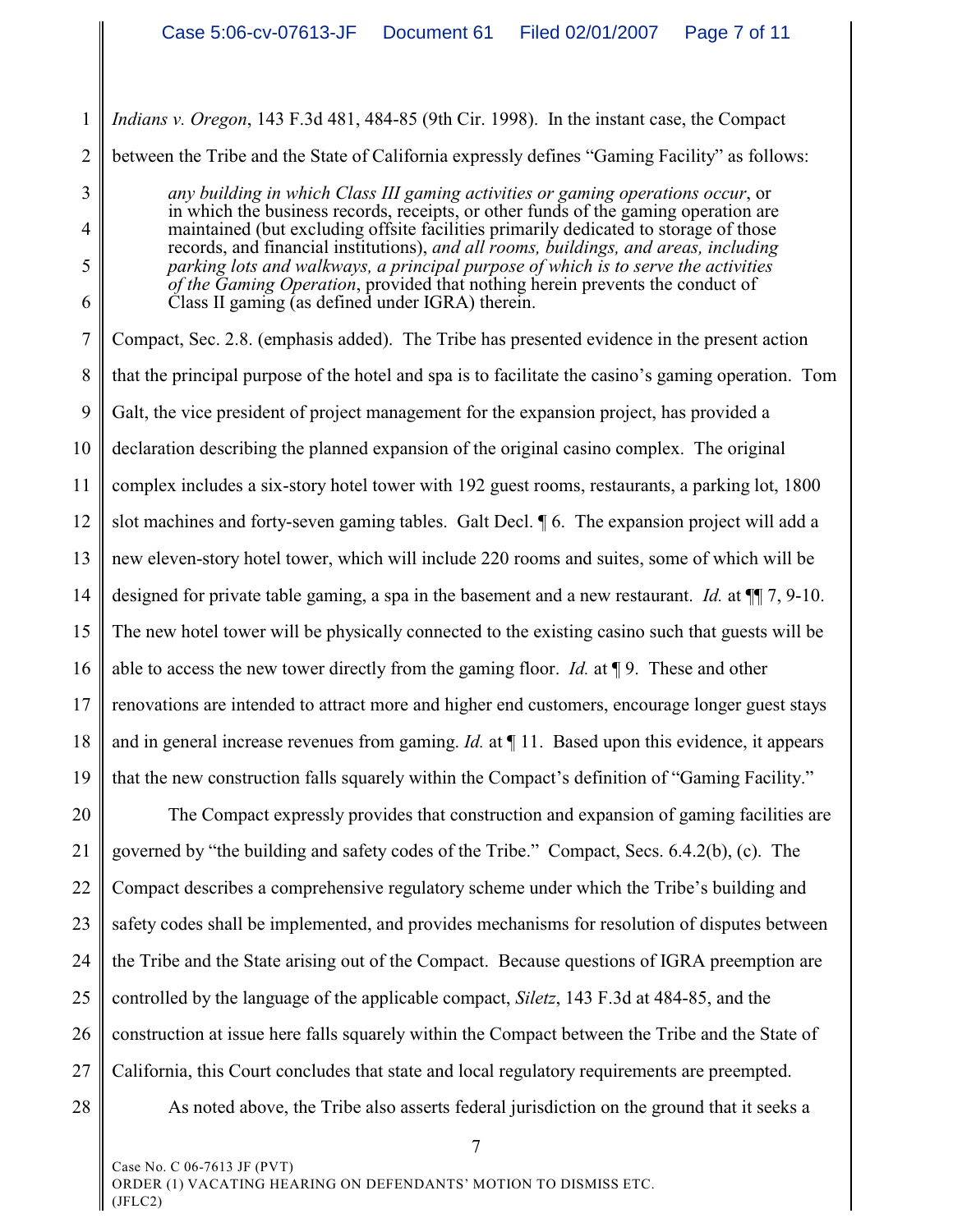1 *Indians v. Oregon*, 143 F.3d 481, 484-85 (9th Cir. 1998). In the instant case, the Compact

3

4

5

6

2 between the Tribe and the State of California expressly defines "Gaming Facility" as follows:

*any building in which Class III gaming activities or gaming operations occur*, or in which the business records, receipts, or other funds of the gaming operation are maintained (but excluding offsite facilities primarily dedicated to storage of those records, and financial institutions), *and all rooms, buildings, and areas, including parking lots and walkways, a principal purpose of which is to serve the activities of the Gaming Operation*, provided that nothing herein prevents the conduct of Class II gaming (as defined under IGRA) therein.

7 8 9 10 11 12 13 14 15 16 17 18 19 Compact, Sec. 2.8. (emphasis added). The Tribe has presented evidence in the present action that the principal purpose of the hotel and spa is to facilitate the casino's gaming operation. Tom Galt, the vice president of project management for the expansion project, has provided a declaration describing the planned expansion of the original casino complex. The original complex includes a six-story hotel tower with 192 guest rooms, restaurants, a parking lot, 1800 slot machines and forty-seven gaming tables. Galt Decl. ¶ 6. The expansion project will add a new eleven-story hotel tower, which will include 220 rooms and suites, some of which will be designed for private table gaming, a spa in the basement and a new restaurant. *Id.* at ¶¶ 7, 9-10. The new hotel tower will be physically connected to the existing casino such that guests will be able to access the new tower directly from the gaming floor. *Id.* at ¶ 9. These and other renovations are intended to attract more and higher end customers, encourage longer guest stays and in general increase revenues from gaming. *Id.* at ¶ 11. Based upon this evidence, it appears that the new construction falls squarely within the Compact's definition of "Gaming Facility."

20 21 22 23 24 25 26 27 28 The Compact expressly provides that construction and expansion of gaming facilities are governed by "the building and safety codes of the Tribe." Compact, Secs. 6.4.2(b), (c). The Compact describes a comprehensive regulatory scheme under which the Tribe's building and safety codes shall be implemented, and provides mechanisms for resolution of disputes between the Tribe and the State arising out of the Compact. Because questions of IGRA preemption are controlled by the language of the applicable compact, *Siletz*, 143 F.3d at 484-85, and the construction at issue here falls squarely within the Compact between the Tribe and the State of California, this Court concludes that state and local regulatory requirements are preempted. As noted above, the Tribe also asserts federal jurisdiction on the ground that it seeks a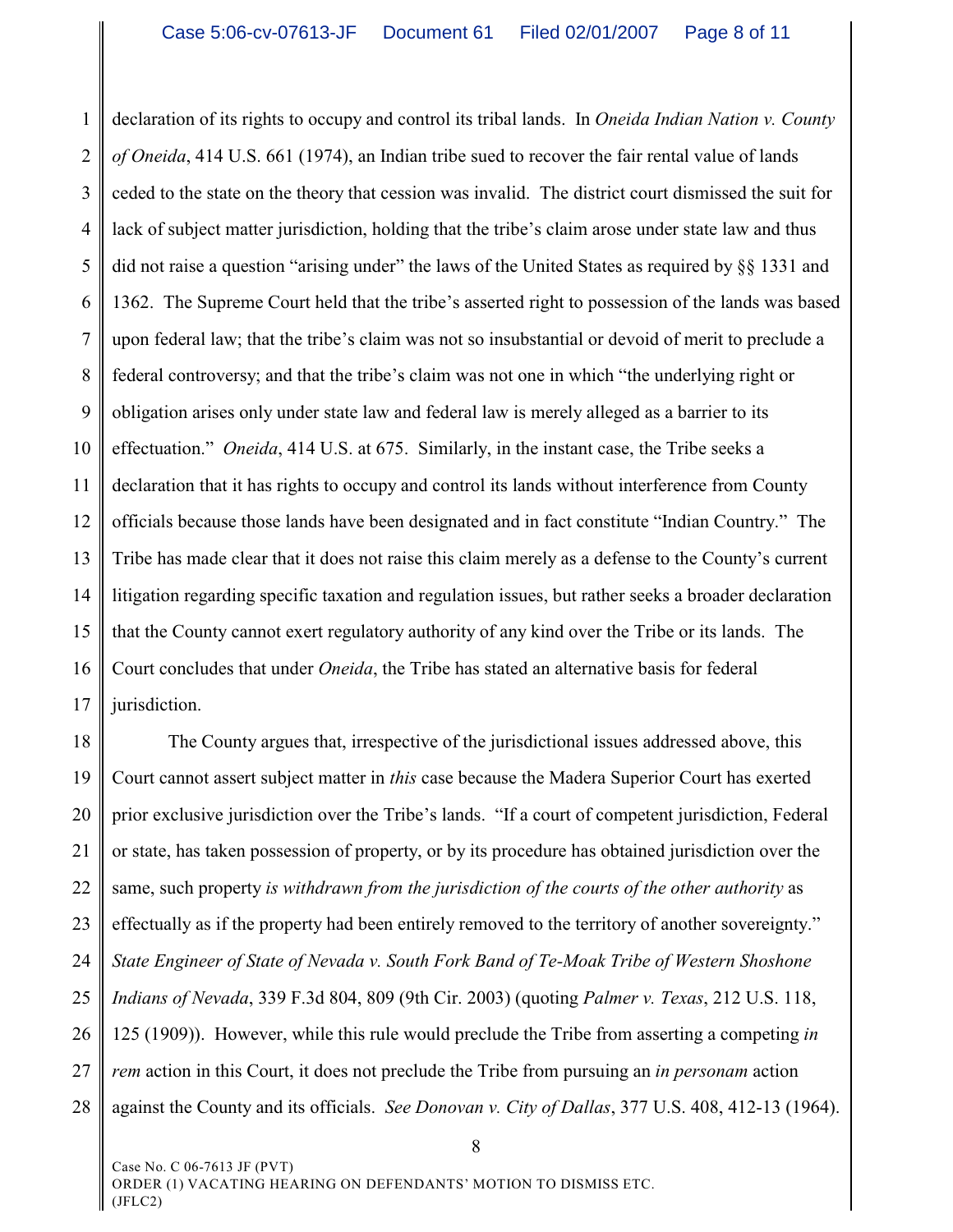1 2 3 4 5 6 7 8 9 10 11 12 13 14 15 16 17 declaration of its rights to occupy and control its tribal lands. In *Oneida Indian Nation v. County of Oneida*, 414 U.S. 661 (1974), an Indian tribe sued to recover the fair rental value of lands ceded to the state on the theory that cession was invalid. The district court dismissed the suit for lack of subject matter jurisdiction, holding that the tribe's claim arose under state law and thus did not raise a question "arising under" the laws of the United States as required by §§ 1331 and 1362. The Supreme Court held that the tribe's asserted right to possession of the lands was based upon federal law; that the tribe's claim was not so insubstantial or devoid of merit to preclude a federal controversy; and that the tribe's claim was not one in which "the underlying right or obligation arises only under state law and federal law is merely alleged as a barrier to its effectuation." *Oneida*, 414 U.S. at 675. Similarly, in the instant case, the Tribe seeks a declaration that it has rights to occupy and control its lands without interference from County officials because those lands have been designated and in fact constitute "Indian Country." The Tribe has made clear that it does not raise this claim merely as a defense to the County's current litigation regarding specific taxation and regulation issues, but rather seeks a broader declaration that the County cannot exert regulatory authority of any kind over the Tribe or its lands. The Court concludes that under *Oneida*, the Tribe has stated an alternative basis for federal jurisdiction.

18 19 20 21 22 23 24 25 26 27 28 The County argues that, irrespective of the jurisdictional issues addressed above, this Court cannot assert subject matter in *this* case because the Madera Superior Court has exerted prior exclusive jurisdiction over the Tribe's lands. "If a court of competent jurisdiction, Federal or state, has taken possession of property, or by its procedure has obtained jurisdiction over the same, such property *is withdrawn from the jurisdiction of the courts of the other authority* as effectually as if the property had been entirely removed to the territory of another sovereignty." *State Engineer of State of Nevada v. South Fork Band of Te-Moak Tribe of Western Shoshone Indians of Nevada*, 339 F.3d 804, 809 (9th Cir. 2003) (quoting *Palmer v. Texas*, 212 U.S. 118, 125 (1909)). However, while this rule would preclude the Tribe from asserting a competing *in rem* action in this Court, it does not preclude the Tribe from pursuing an *in personam* action against the County and its officials. *See Donovan v. City of Dallas*, 377 U.S. 408, 412-13 (1964).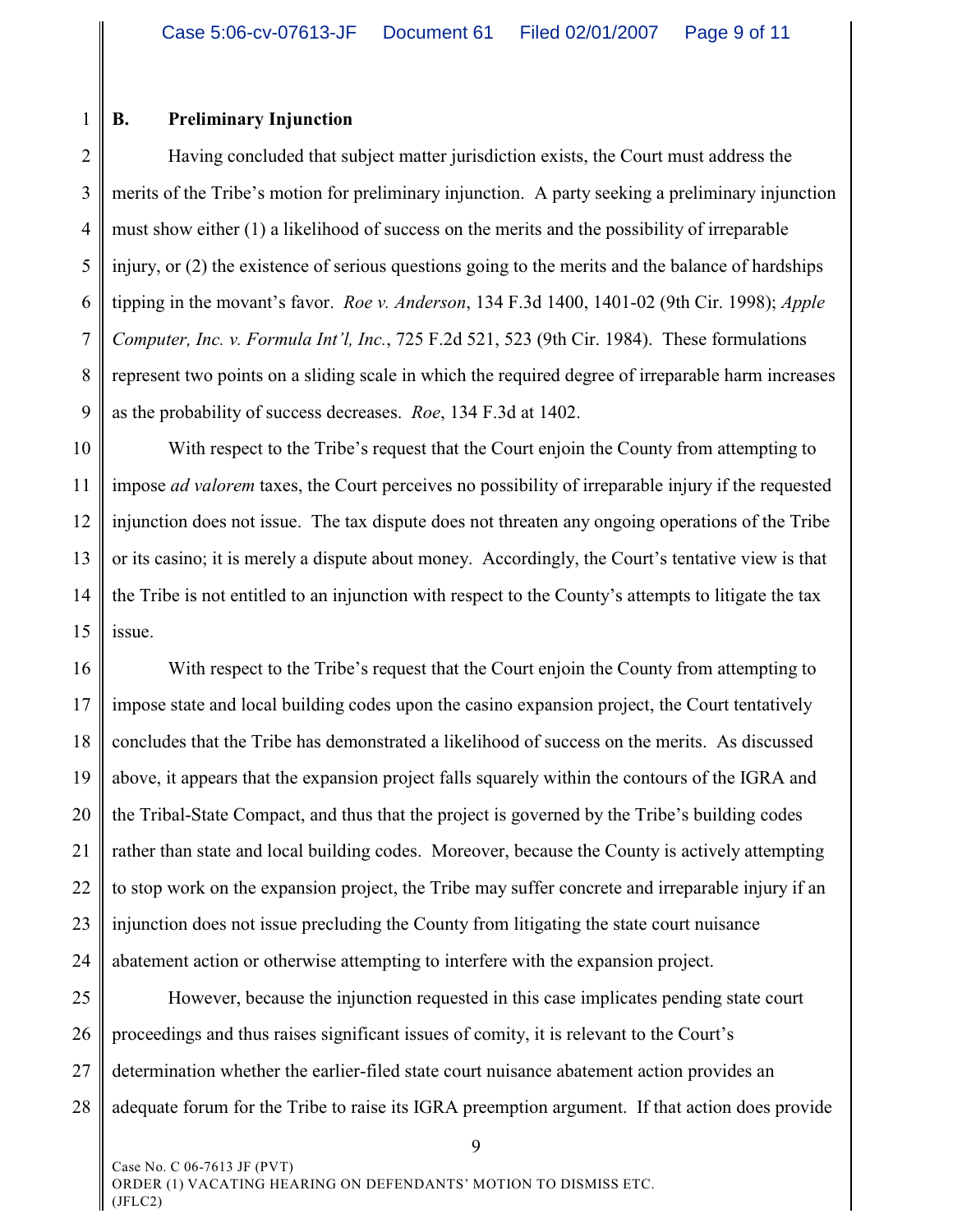#### 1 **B. Preliminary Injunction**

2 3 4 5 6 7 8 9 Having concluded that subject matter jurisdiction exists, the Court must address the merits of the Tribe's motion for preliminary injunction. A party seeking a preliminary injunction must show either (1) a likelihood of success on the merits and the possibility of irreparable injury, or (2) the existence of serious questions going to the merits and the balance of hardships tipping in the movant's favor. *Roe v. Anderson*, 134 F.3d 1400, 1401-02 (9th Cir. 1998); *Apple Computer, Inc. v. Formula Int'l, Inc.*, 725 F.2d 521, 523 (9th Cir. 1984). These formulations represent two points on a sliding scale in which the required degree of irreparable harm increases as the probability of success decreases. *Roe*, 134 F.3d at 1402.

10 11 12 13 14 15 With respect to the Tribe's request that the Court enjoin the County from attempting to impose *ad valorem* taxes, the Court perceives no possibility of irreparable injury if the requested injunction does not issue. The tax dispute does not threaten any ongoing operations of the Tribe or its casino; it is merely a dispute about money. Accordingly, the Court's tentative view is that the Tribe is not entitled to an injunction with respect to the County's attempts to litigate the tax issue.

16 17 18 19 20 21 22 23 24 With respect to the Tribe's request that the Court enjoin the County from attempting to impose state and local building codes upon the casino expansion project, the Court tentatively concludes that the Tribe has demonstrated a likelihood of success on the merits. As discussed above, it appears that the expansion project falls squarely within the contours of the IGRA and the Tribal-State Compact, and thus that the project is governed by the Tribe's building codes rather than state and local building codes. Moreover, because the County is actively attempting to stop work on the expansion project, the Tribe may suffer concrete and irreparable injury if an injunction does not issue precluding the County from litigating the state court nuisance abatement action or otherwise attempting to interfere with the expansion project.

25 26 27 28 However, because the injunction requested in this case implicates pending state court proceedings and thus raises significant issues of comity, it is relevant to the Court's determination whether the earlier-filed state court nuisance abatement action provides an adequate forum for the Tribe to raise its IGRA preemption argument. If that action does provide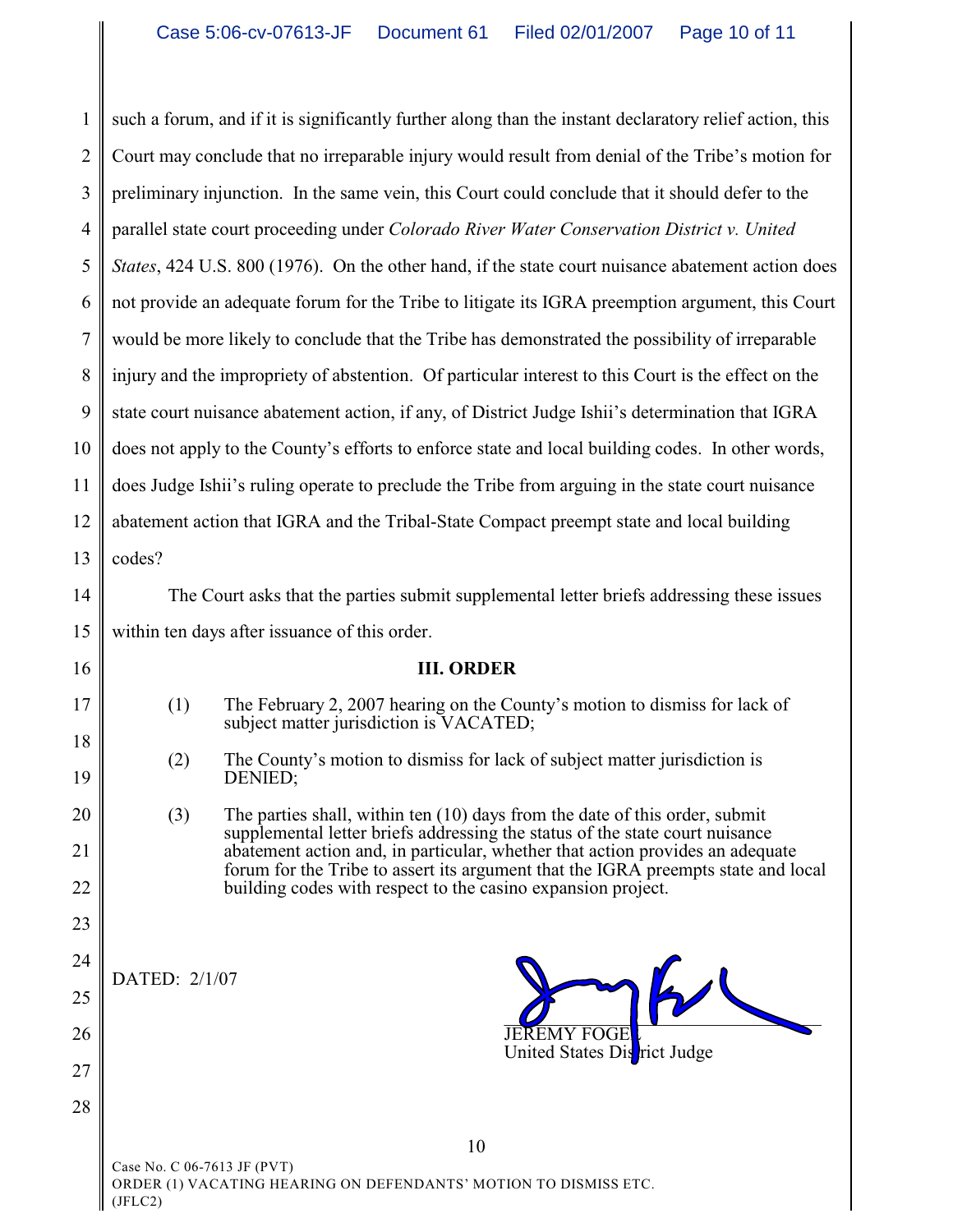1 2 3 4 5 6 7 8 9 10 11 12 13 14 15 16 17 18 19 20 21 22 23 24 25 26 27 28 10 such a forum, and if it is significantly further along than the instant declaratory relief action, this Court may conclude that no irreparable injury would result from denial of the Tribe's motion for preliminary injunction. In the same vein, this Court could conclude that it should defer to the parallel state court proceeding under *Colorado River Water Conservation District v. United States*, 424 U.S. 800 (1976). On the other hand, if the state court nuisance abatement action does not provide an adequate forum for the Tribe to litigate its IGRA preemption argument, this Court would be more likely to conclude that the Tribe has demonstrated the possibility of irreparable injury and the impropriety of abstention. Of particular interest to this Court is the effect on the state court nuisance abatement action, if any, of District Judge Ishii's determination that IGRA does not apply to the County's efforts to enforce state and local building codes. In other words, does Judge Ishii's ruling operate to preclude the Tribe from arguing in the state court nuisance abatement action that IGRA and the Tribal-State Compact preempt state and local building codes? The Court asks that the parties submit supplemental letter briefs addressing these issues within ten days after issuance of this order. **III. ORDER** (1) The February 2, 2007 hearing on the County's motion to dismiss for lack of subject matter jurisdiction is VACATED; (2) The County's motion to dismiss for lack of subject matter jurisdiction is DENIED; (3) The parties shall, within ten (10) days from the date of this order, submit supplemental letter briefs addressing the status of the state court nuisance abatement action and, in particular, whether that action provides an adequate forum for the Tribe to assert its argument that the IGRA preempts state and local building codes with respect to the casino expansion project. DATED: 2/1/07  $\overline{\mathcal{Q}}$  and  $\overline{\mathcal{Q}}$ **JEREMY FOGE** United States District Judge